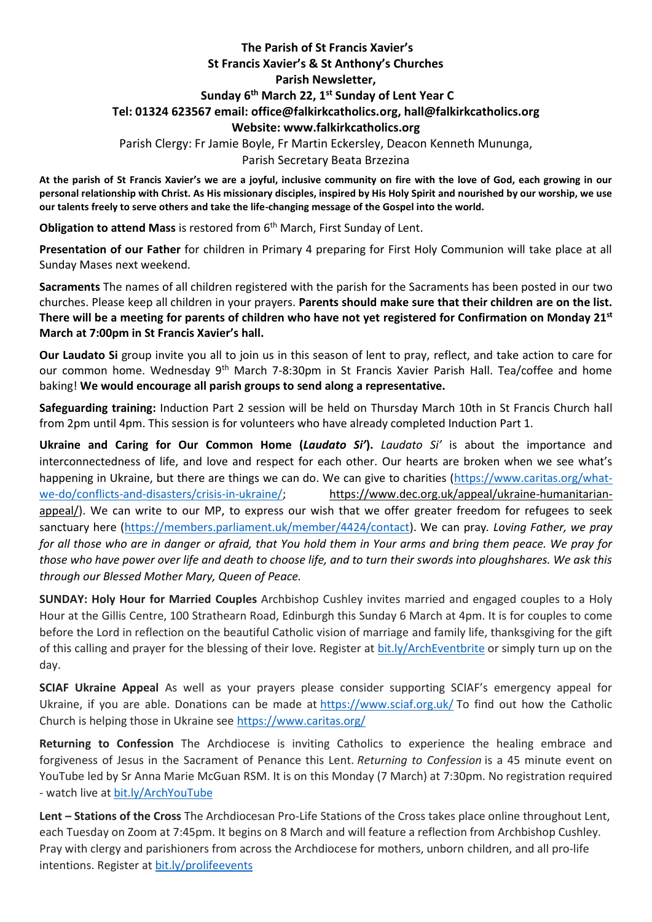## **The Parish of St Francis Xavier's St Francis Xavier's & St Anthony's Churches Parish Newsletter, Sunday 6 th March 22, 1 st Sunday of Lent Year C Tel: 01324 623567 email: office@falkirkcatholics.org, [hall@falkirkcatholics.org](mailto:hall@falkirkcatholics.org) Website: [www.falkirkcatholics.org](http://www.falkirkcatholics.org/)**

Parish Clergy: Fr Jamie Boyle, Fr Martin Eckersley, Deacon Kenneth Mununga,

## Parish Secretary Beata Brzezina

**At the parish of St Francis Xavier's we are a joyful, inclusive community on fire with the love of God, each growing in our personal relationship with Christ. As His missionary disciples, inspired by His Holy Spirit and nourished by our worship, we use our talents freely to serve others and take the life-changing message of the Gospel into the world.** 

**Obligation to attend Mass** is restored from 6<sup>th</sup> March, First Sunday of Lent.

**Presentation of our Father** for children in Primary 4 preparing for First Holy Communion will take place at all Sunday Mases next weekend.

**Sacraments** The names of all children registered with the parish for the Sacraments has been posted in our two churches. Please keep all children in your prayers. **Parents should make sure that their children are on the list. There will be a meeting for parents of children who have not yet registered for Confirmation on Monday 21st March at 7:00pm in St Francis Xavier's hall.** 

**Our Laudato Si** group invite you all to join us in this season of lent to pray, reflect, and take action to care for our common home. Wednesday 9<sup>th</sup> March 7-8:30pm in St Francis Xavier Parish Hall. Tea/coffee and home baking! **We would encourage all parish groups to send along a representative.** 

**Safeguarding training:** Induction Part 2 session will be held on Thursday March 10th in St Francis Church hall from 2pm until 4pm. This session is for volunteers who have already completed Induction Part 1.

**Ukraine and Caring for Our Common Home (***Laudato Si'***).** *Laudato Si'* is about the importance and interconnectedness of life, and love and respect for each other. Our hearts are broken when we see what's happening in Ukraine, but there are things we can do. We can give to charities [\(https://www.caritas.org/what](https://nam12.safelinks.protection.outlook.com/?url=https%3A%2F%2Fwww.caritas.org%2Fwhat-we-do%2Fconflicts-and-disasters%2Fcrisis-in-ukraine%2F&data=04%7C01%7C%7C352a30c96a4a46650d5808d9fb80122d%7C84df9e7fe9f640afb435aaaaaaaaaaaa%7C1%7C0%7C637817349738539469%7CUnknown%7CTWFpbGZsb3d8eyJWIjoiMC4wLjAwMDAiLCJQIjoiV2luMzIiLCJBTiI6Ik1haWwiLCJXVCI6Mn0%3D%7C3000&sdata=fmT5PEZ9WoUjITBC6xspQylkjxiq2KiaT51ddMlF5W8%3D&reserved=0)[we-do/conflicts-and-disasters/crisis-in-ukraine/;](https://nam12.safelinks.protection.outlook.com/?url=https%3A%2F%2Fwww.caritas.org%2Fwhat-we-do%2Fconflicts-and-disasters%2Fcrisis-in-ukraine%2F&data=04%7C01%7C%7C352a30c96a4a46650d5808d9fb80122d%7C84df9e7fe9f640afb435aaaaaaaaaaaa%7C1%7C0%7C637817349738539469%7CUnknown%7CTWFpbGZsb3d8eyJWIjoiMC4wLjAwMDAiLCJQIjoiV2luMzIiLCJBTiI6Ik1haWwiLCJXVCI6Mn0%3D%7C3000&sdata=fmT5PEZ9WoUjITBC6xspQylkjxiq2KiaT51ddMlF5W8%3D&reserved=0) https://www.dec.org.uk/appeal/ukraine-humanitarianappeal/). We can write to our MP, to express our wish that we offer greater freedom for refugees to seek sanctuary here [\(https://members.parliament.uk/member/4424/contact\)](https://members.parliament.uk/member/4424/contact). We can pray*. Loving Father, we pray for all those who are in danger or afraid, that You hold them in Your arms and bring them peace. We pray for those who have power over life and death to choose life, and to turn their swords into ploughshares. We ask this through our Blessed Mother Mary, Queen of Peace.*

**SUNDAY: Holy Hour for Married Couples** Archbishop Cushley invites married and engaged couples to a Holy Hour at the Gillis Centre, 100 Strathearn Road, Edinburgh this Sunday 6 March at 4pm. It is for couples to come before the Lord in reflection on the beautiful Catholic vision of marriage and family life, thanksgiving for the gift of this calling and prayer for the blessing of their love. Register at [bit.ly/ArchEventbrite](https://www.eventbrite.co.uk/o/archdiocese-of-st-andrews-amp-edinburgh-18333988801) or simply turn up on the day.

**SCIAF Ukraine Appeal** As well as your prayers please consider supporting SCIAF's emergency appeal for Ukraine, if you are able. Donations can be made at <https://www.sciaf.org.uk/> To find out how the Catholic Church is helping those in Ukraine see <https://www.caritas.org/>

**Returning to Confession** The Archdiocese is inviting Catholics to experience the healing embrace and forgiveness of Jesus in the Sacrament of Penance this Lent. *Returning to Confession* is a 45 minute event on YouTube led by Sr Anna Marie McGuan RSM. It is on this Monday (7 March) at 7:30pm. No registration required - watch live at [bit.ly/ArchYouTube](https://www.youtube.com/channel/UCpeWTFr87oQNpdWGgv_G9bw/videos)

**Lent – Stations of the Cross** The Archdiocesan Pro-Life Stations of the Cross takes place online throughout Lent, each Tuesday on Zoom at 7:45pm. It begins on 8 March and will feature a reflection from Archbishop Cushley. Pray with clergy and parishioners from across the Archdiocese for mothers, unborn children, and all pro-life intentions. Register at [bit.ly/prolifeevents](https://www.eventbrite.co.uk/cc/pro-life-events-150559)